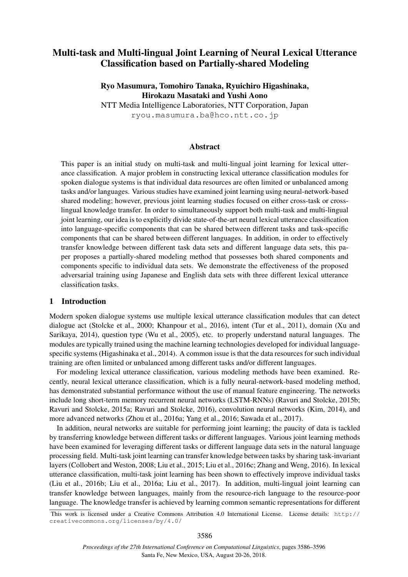# Multi-task and Multi-lingual Joint Learning of Neural Lexical Utterance Classification based on Partially-shared Modeling

## Ryo Masumura, Tomohiro Tanaka, Ryuichiro Higashinaka, Hirokazu Masataki and Yushi Aono

NTT Media Intelligence Laboratories, NTT Corporation, Japan ryou.masumura.ba@hco.ntt.co.jp

## Abstract

This paper is an initial study on multi-task and multi-lingual joint learning for lexical utterance classification. A major problem in constructing lexical utterance classification modules for spoken dialogue systems is that individual data resources are often limited or unbalanced among tasks and/or languages. Various studies have examined joint learning using neural-network-based shared modeling; however, previous joint learning studies focused on either cross-task or crosslingual knowledge transfer. In order to simultaneously support both multi-task and multi-lingual joint learning, our idea is to explicitly divide state-of-the-art neural lexical utterance classification into language-specific components that can be shared between different tasks and task-specific components that can be shared between different languages. In addition, in order to effectively transfer knowledge between different task data sets and different language data sets, this paper proposes a partially-shared modeling method that possesses both shared components and components specific to individual data sets. We demonstrate the effectiveness of the proposed adversarial training using Japanese and English data sets with three different lexical utterance classification tasks.

#### 1 Introduction

Modern spoken dialogue systems use multiple lexical utterance classification modules that can detect dialogue act (Stolcke et al., 2000; Khanpour et al., 2016), intent (Tur et al., 2011), domain (Xu and Sarikaya, 2014), question type (Wu et al., 2005), etc. to properly understand natural languages. The modules are typically trained using the machine learning technologies developed for individual languagespecific systems (Higashinaka et al., 2014). A common issue is that the data resources for such individual training are often limited or unbalanced among different tasks and/or different languages.

For modeling lexical utterance classification, various modeling methods have been examined. Recently, neural lexical utterance classification, which is a fully neural-network-based modeling method, has demonstrated substantial performance without the use of manual feature engineering. The networks include long short-term memory recurrent neural networks (LSTM-RNNs) (Ravuri and Stolcke, 2015b; Ravuri and Stolcke, 2015a; Ravuri and Stolcke, 2016), convolution neural networks (Kim, 2014), and more advanced networks (Zhou et al., 2016a; Yang et al., 2016; Sawada et al., 2017).

In addition, neural networks are suitable for performing joint learning; the paucity of data is tackled by transferring knowledge between different tasks or different languages. Various joint learning methods have been examined for leveraging different tasks or different language data sets in the natural language processing field. Multi-task joint learning can transfer knowledge between tasks by sharing task-invariant layers (Collobert and Weston, 2008; Liu et al., 2015; Liu et al., 2016c; Zhang and Weng, 2016). In lexical utterance classification, multi-task joint learning has been shown to effectively improve individual tasks (Liu et al., 2016b; Liu et al., 2016a; Liu et al., 2017). In addition, multi-lingual joint learning can transfer knowledge between languages, mainly from the resource-rich language to the resource-poor language. The knowledge transfer is achieved by learning common semantic representations for different

This work is licensed under a Creative Commons Attribution 4.0 International License. License details: http:// creativecommons.org/licenses/by/4.0/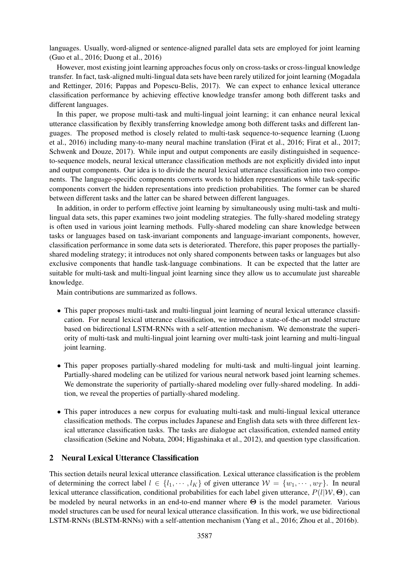languages. Usually, word-aligned or sentence-aligned parallel data sets are employed for joint learning (Guo et al., 2016; Duong et al., 2016)

However, most existing joint learning approaches focus only on cross-tasks or cross-lingual knowledge transfer. In fact, task-aligned multi-lingual data sets have been rarely utilized for joint learning (Mogadala and Rettinger, 2016; Pappas and Popescu-Belis, 2017). We can expect to enhance lexical utterance classification performance by achieving effective knowledge transfer among both different tasks and different languages.

In this paper, we propose multi-task and multi-lingual joint learning; it can enhance neural lexical utterance classification by flexibly transferring knowledge among both different tasks and different languages. The proposed method is closely related to multi-task sequence-to-sequence learning (Luong et al., 2016) including many-to-many neural machine translation (Firat et al., 2016; Firat et al., 2017; Schwenk and Douze, 2017). While input and output components are easily distinguished in sequenceto-sequence models, neural lexical utterance classification methods are not explicitly divided into input and output components. Our idea is to divide the neural lexical utterance classification into two components. The language-specific components converts words to hidden representations while task-specific components convert the hidden representations into prediction probabilities. The former can be shared between different tasks and the latter can be shared between different languages.

In addition, in order to perform effective joint learning by simultaneously using multi-task and multilingual data sets, this paper examines two joint modeling strategies. The fully-shared modeling strategy is often used in various joint learning methods. Fully-shared modeling can share knowledge between tasks or languages based on task-invariant components and language-invariant components, however, classification performance in some data sets is deteriorated. Therefore, this paper proposes the partiallyshared modeling strategy; it introduces not only shared components between tasks or languages but also exclusive components that handle task-language combinations. It can be expected that the latter are suitable for multi-task and multi-lingual joint learning since they allow us to accumulate just shareable knowledge.

Main contributions are summarized as follows.

- This paper proposes multi-task and multi-lingual joint learning of neural lexical utterance classification. For neural lexical utterance classification, we introduce a state-of-the-art model structure based on bidirectional LSTM-RNNs with a self-attention mechanism. We demonstrate the superiority of multi-task and multi-lingual joint learning over multi-task joint learning and multi-lingual joint learning.
- This paper proposes partially-shared modeling for multi-task and multi-lingual joint learning. Partially-shared modeling can be utilized for various neural network based joint learning schemes. We demonstrate the superiority of partially-shared modeling over fully-shared modeling. In addition, we reveal the properties of partially-shared modeling.
- This paper introduces a new corpus for evaluating multi-task and multi-lingual lexical utterance classification methods. The corpus includes Japanese and English data sets with three different lexical utterance classification tasks. The tasks are dialogue act classification, extended named entity classification (Sekine and Nobata, 2004; Higashinaka et al., 2012), and question type classification.

## 2 Neural Lexical Utterance Classification

This section details neural lexical utterance classification. Lexical utterance classification is the problem of determining the correct label  $l \in \{l_1, \dots, l_K\}$  of given utterance  $W = \{w_1, \dots, w_T\}$ . In neural lexical utterance classification, conditional probabilities for each label given utterance, *P*(*l|W,* **Θ**), can be modeled by neural networks in an end-to-end manner where **Θ** is the model parameter. Various model structures can be used for neural lexical utterance classification. In this work, we use bidirectional LSTM-RNNs (BLSTM-RNNs) with a self-attention mechanism (Yang et al., 2016; Zhou et al., 2016b).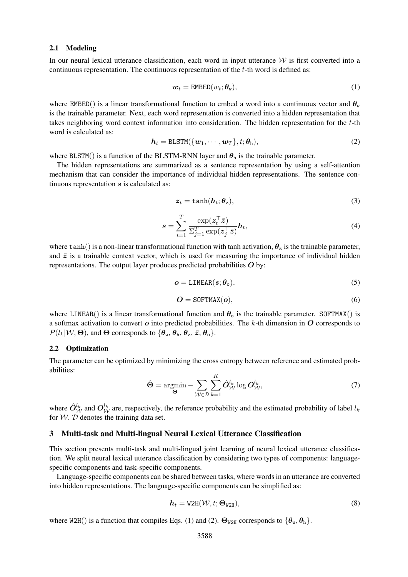#### 2.1 Modeling

In our neural lexical utterance classification, each word in input utterance *W* is first converted into a continuous representation. The continuous representation of the *t*-th word is defined as:

$$
\mathbf{w}_t = \texttt{EMBED}(w_t; \boldsymbol{\theta}_\mathbf{w}),\tag{1}
$$

where EMBED() is a linear transformational function to embed a word into a continuous vector and  $\theta_{w}$ is the trainable parameter. Next, each word representation is converted into a hidden representation that takes neighboring word context information into consideration. The hidden representation for the *t*-th word is calculated as:

$$
h_t = \text{BLSTM}(\{\boldsymbol{w}_1, \cdots, \boldsymbol{w}_T\}, t; \boldsymbol{\theta}_h),
$$
\n(2)

where BLSTM() is a function of the BLSTM-RNN layer and  $\theta_h$  is the trainable parameter.

The hidden representations are summarized as a sentence representation by using a self-attention mechanism that can consider the importance of individual hidden representations. The sentence continuous representation *s* is calculated as:

$$
z_t = \tanh(h_t; \theta_z),\tag{3}
$$

$$
\mathbf{s} = \sum_{t=1}^{T} \frac{\exp(\mathbf{z}_t^{\top} \bar{\mathbf{z}})}{\Sigma_{j=1}^{T} \exp(\mathbf{z}_j^{\top} \bar{\mathbf{z}})} \mathbf{h}_t, \tag{4}
$$

where  $tanh()$  is a non-linear transformational function with tanh activation,  $\theta_z$  is the trainable parameter, and  $\bar{z}$  is a trainable context vector, which is used for measuring the importance of individual hidden representations. The output layer produces predicted probabilities *O* by:

$$
o = \text{LINEAR}(s; \theta_0),\tag{5}
$$

$$
O = \text{SOFTMAX}(o),\tag{6}
$$

where LINEAR() is a linear transformational function and  $\theta_0$  is the trainable parameter. SOFTMAX() is a softmax activation to convert *o* into predicted probabilities. The *k*-th dimension in *O* corresponds to  $P(l_k|W, \Theta)$ , and  $\Theta$  corresponds to  $\{\theta_w, \theta_h, \theta_z, \overline{z}, \theta_o\}$ .

#### 2.2 Optimization

The parameter can be optimized by minimizing the cross entropy between reference and estimated probabilities:

$$
\hat{\Theta} = \underset{\Theta}{\operatorname{argmin}} - \sum_{\mathcal{W} \in \mathcal{D}} \sum_{k=1}^{K} \hat{O}_{\mathcal{W}}^{l_k} \log O_{\mathcal{W}}^{l_k},\tag{7}
$$

where  $\hat{O}_{\mathcal{W}}^{l_k}$  and  $O_{\mathcal{W}}^{l_k}$  are, respectively, the reference probability and the estimated probability of label  $l_k$ for  $W$ .  $D$  denotes the training data set.

#### 3 Multi-task and Multi-lingual Neural Lexical Utterance Classification

This section presents multi-task and multi-lingual joint learning of neural lexical utterance classification. We split neural lexical utterance classification by considering two types of components: languagespecific components and task-specific components.

Language-specific components can be shared between tasks, where words in an utterance are converted into hidden representations. The language-specific components can be simplified as:

$$
\boldsymbol{h}_t = \text{W2H}(\mathcal{W}, t; \boldsymbol{\Theta}_{\text{W2H}}), \tag{8}
$$

where W2H() is a function that compiles Eqs. (1) and (2).  $\Theta_{W2H}$  corresponds to  $\{\theta_w, \theta_h\}$ .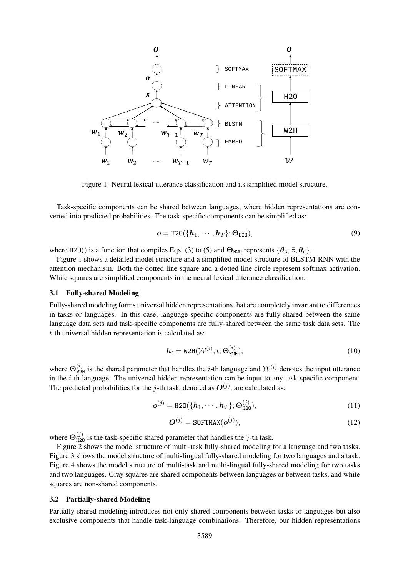

Figure 1: Neural lexical utterance classification and its simplified model structure.

Task-specific components can be shared between languages, where hidden representations are converted into predicted probabilities. The task-specific components can be simplified as:

$$
\boldsymbol{o} = \text{H2O}(\{\boldsymbol{h}_1, \cdots, \boldsymbol{h}_T\}; \boldsymbol{\Theta}_{\text{H2O}}),\tag{9}
$$

where H2O() is a function that compiles Eqs. (3) to (5) and  $\Theta_{\text{H20}}$  represents  $\{\theta_z, \bar{z}, \theta_o\}$ .

Figure 1 shows a detailed model structure and a simplified model structure of BLSTM-RNN with the attention mechanism. Both the dotted line square and a dotted line circle represent softmax activation. White squares are simplified components in the neural lexical utterance classification.

#### 3.1 Fully-shared Modeling

Fully-shared modeling forms universal hidden representations that are completely invariant to differences in tasks or languages. In this case, language-specific components are fully-shared between the same language data sets and task-specific components are fully-shared between the same task data sets. The *t*-th universal hidden representation is calculated as:

$$
\mathbf{h}_t = \text{W2H}(\mathcal{W}^{(i)}, t; \mathbf{\Theta}_{\text{W2H}}^{(i)}),\tag{10}
$$

where  $\Theta_{W2H}^{(i)}$  is the shared parameter that handles the *i*-th language and  $W^{(i)}$  denotes the input utterance in the *i*-th language. The universal hidden representation can be input to any task-specific component. The predicted probabilities for the  $j$ -th task, denoted as  $O^{(j)}$ , are calculated as:

$$
\boldsymbol{o}^{(j)} = \text{H2O}(\{\boldsymbol{h}_1, \cdots, \boldsymbol{h}_T\}; \boldsymbol{\Theta}_{\text{H2O}}^{(j)}),\tag{11}
$$

$$
\boldsymbol{O}^{(j)} = \text{SOFTMAX}(\boldsymbol{o}^{(j)}),\tag{12}
$$

where  $\Theta_{\text{H20}}^{(j)}$  is the task-specific shared parameter that handles the *j*-th task.

Figure 2 shows the model structure of multi-task fully-shared modeling for a language and two tasks. Figure 3 shows the model structure of multi-lingual fully-shared modeling for two languages and a task. Figure 4 shows the model structure of multi-task and multi-lingual fully-shared modeling for two tasks and two languages. Gray squares are shared components between languages or between tasks, and white squares are non-shared components.

#### 3.2 Partially-shared Modeling

Partially-shared modeling introduces not only shared components between tasks or languages but also exclusive components that handle task-language combinations. Therefore, our hidden representations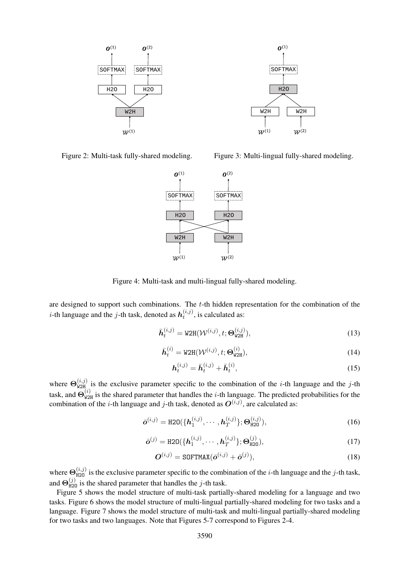

Figure 2: Multi-task fully-shared modeling.

Figure 3: Multi-lingual fully-shared modeling.



Figure 4: Multi-task and multi-lingual fully-shared modeling.

are designed to support such combinations. The *t*-th hidden representation for the combination of the *i*-th language and the *j*-th task, denoted as  $h_t^{(i,j)}$  $t^{(i,j)}$ , is calculated as:

$$
\bar{\mathbf{h}}_t^{(i,j)} = \text{W2H}(\mathcal{W}^{(i,j)}, t; \Theta_{\text{W2H}}^{(i,j)}),\tag{13}
$$

$$
\bar{\boldsymbol{h}}_t^{(i)} = \text{W2H}(\mathcal{W}^{(i,j)}, t; \boldsymbol{\Theta}_{\text{W2H}}^{(i)}),\tag{14}
$$

$$
\mathbf{h}_t^{(i,j)} = \bar{\mathbf{h}}_t^{(i,j)} + \bar{\mathbf{h}}_t^{(i)},\tag{15}
$$

where  $\Theta_{W2H}^{(i,j)}$  is the exclusive parameter specific to the combination of the *i*-th language and the *j*-th task, and  $\Theta_{W2H}^{(i)}$  is the shared parameter that handles the *i*-th language. The predicted probabilities for the combination of the *i*-th language and *j*-th task, denoted as  $O^{(i,j)}$ , are calculated as:

$$
\bar{\boldsymbol{o}}^{(i,j)} = \text{H2O}(\{\boldsymbol{h}_1^{(i,j)}, \cdots, \boldsymbol{h}_T^{(i,j)}\}; \boldsymbol{\Theta}_{\text{H2O}}^{(i,j)}),
$$
(16)

$$
\bar{\mathbf{o}}^{(j)} = \text{H2O}(\{\mathbf{h}_1^{(i,j)}, \cdots, \mathbf{h}_T^{(i,j)}\}; \Theta_{\text{H2O}}^{(j)}),\tag{17}
$$

$$
\boldsymbol{O}^{(i,j)} = \text{SOFTMAX}(\bar{\boldsymbol{o}}^{(i,j)} + \bar{\boldsymbol{o}}^{(j)}),
$$
\n(18)

where  $\Theta_{\text{H2O}}^{(i,j)}$  is the exclusive parameter specific to the combination of the *i*-th language and the *j*-th task, and  $\Theta_{\text{H2O}}^{(j)}$  is the shared parameter that handles the *j*-th task.

Figure 5 shows the model structure of multi-task partially-shared modeling for a language and two tasks. Figure 6 shows the model structure of multi-lingual partially-shared modeling for two tasks and a language. Figure 7 shows the model structure of multi-task and multi-lingual partially-shared modeling for two tasks and two languages. Note that Figures 5-7 correspond to Figures 2-4.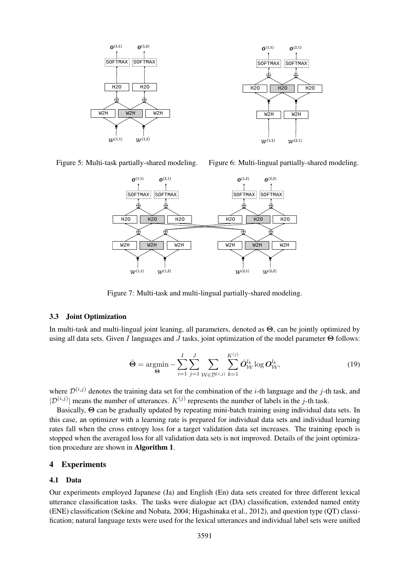

Figure 5: Multi-task partially-shared modeling.





Figure 7: Multi-task and multi-lingual partially-shared modeling.

#### 3.3 Joint Optimization

In multi-task and multi-lingual joint leaning, all parameters, denoted as **Θ**, can be jointly optimized by using all data sets. Given *I* languages and *J* tasks, joint optimization of the model parameter **Θ** follows:

$$
\hat{\mathbf{\Theta}} = \underset{\mathbf{\Theta}}{\operatorname{argmin}} - \sum_{i=1}^{I} \sum_{j=1}^{J} \sum_{\mathcal{W} \in \mathcal{D}^{(i,j)}} \sum_{k=1}^{K^{(j)}} \hat{\mathbf{O}}_{\mathcal{W}}^{l_k} \log \mathbf{O}_{\mathcal{W}}^{l_k},
$$
\n(19)

where  $\mathcal{D}^{(i,j)}$  denotes the training data set for the combination of the *i*-th language and the *j*-th task, and  $|\mathcal{D}^{(i,j)}|$  means the number of utterances. *K*<sup>(*j*)</sup> represents the number of labels in the *j*-th task.

Basically, **Θ** can be gradually updated by repeating mini-batch training using individual data sets. In this case, an optimizer with a learning rate is prepared for individual data sets and individual learning rates fall when the cross entropy loss for a target validation data set increases. The training epoch is stopped when the averaged loss for all validation data sets is not improved. Details of the joint optimization procedure are shown in Algorithm 1.

## 4 Experiments

#### 4.1 Data

Our experiments employed Japanese (Ja) and English (En) data sets created for three different lexical utterance classification tasks. The tasks were dialogue act (DA) classification, extended named entity (ENE) classification (Sekine and Nobata, 2004; Higashinaka et al., 2012), and question type (QT) classification; natural language texts were used for the lexical utterances and individual label sets were unified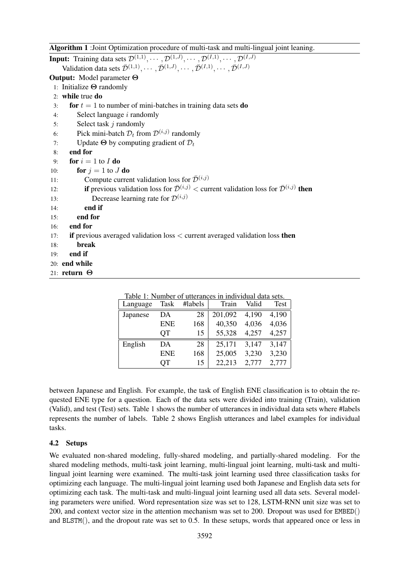|  |  | Algorithm 1 : Joint Optimization procedure of multi-task and multi-lingual joint leaning. |  |  |
|--|--|-------------------------------------------------------------------------------------------|--|--|
|  |  |                                                                                           |  |  |

| <u>011,000 - 1000 - 1000 - 1000 - 1000 - 1000 - 1000 - 1000 - 1000 - 1000 - 1000 - 1000 - 1000 - 1000 - 1000 - 10</u>                                                                                                                                                                                      |
|------------------------------------------------------------------------------------------------------------------------------------------------------------------------------------------------------------------------------------------------------------------------------------------------------------|
| <b>Input:</b> Training data sets $\mathcal{D}^{(1,1)}, \cdots, \mathcal{D}^{(1,J)}, \cdots, \mathcal{D}^{(I,1)}, \cdots, \mathcal{D}^{(I,J)}$<br>Validation data sets $\bar{\mathcal{D}}^{(1,1)}, \cdots, \bar{\mathcal{D}}^{(1,J)}, \cdots, \bar{\mathcal{D}}^{(I,1)}, \cdots, \bar{\mathcal{D}}^{(I,J)}$ |
| <b>Output:</b> Model parameter $\Theta$                                                                                                                                                                                                                                                                    |
| 1: Initialize $\Theta$ randomly                                                                                                                                                                                                                                                                            |
| 2: while true $do$                                                                                                                                                                                                                                                                                         |
| for $t = 1$ to number of mini-batches in training data sets <b>do</b><br>3:                                                                                                                                                                                                                                |
| Select language $i$ randomly<br>4:                                                                                                                                                                                                                                                                         |
| Select task $j$ randomly<br>5:                                                                                                                                                                                                                                                                             |
| Pick mini-batch $\mathcal{D}_t$ from $\mathcal{D}^{(i,j)}$ randomly<br>6:                                                                                                                                                                                                                                  |
| Update $\Theta$ by computing gradient of $\mathcal{D}_t$<br>7:                                                                                                                                                                                                                                             |
| end for<br>8:                                                                                                                                                                                                                                                                                              |
| for $i = 1$ to I do<br>9:                                                                                                                                                                                                                                                                                  |
| for $j = 1$ to J do<br>10:                                                                                                                                                                                                                                                                                 |
| Compute current validation loss for $\bar{\mathcal{D}}^{(i,j)}$<br>11:                                                                                                                                                                                                                                     |
| <b>if</b> previous validation loss for $\bar{\mathcal{D}}^{(i,j)}$ < current validation loss for $\bar{\mathcal{D}}^{(i,j)}$ then<br>12:                                                                                                                                                                   |
| Decrease learning rate for $\mathcal{D}^{(i,j)}$<br>13:                                                                                                                                                                                                                                                    |
| end if<br>14:                                                                                                                                                                                                                                                                                              |
| end for<br>15:                                                                                                                                                                                                                                                                                             |
| end for<br>16:                                                                                                                                                                                                                                                                                             |
| if previous averaged validation $loss <$ current averaged validation loss then<br>17:                                                                                                                                                                                                                      |
| break<br>18:                                                                                                                                                                                                                                                                                               |
| end if<br>19:                                                                                                                                                                                                                                                                                              |
| 20: end while                                                                                                                                                                                                                                                                                              |
| 21: return $\Theta$                                                                                                                                                                                                                                                                                        |

| Language | Task       | #labels | Train   | Valid | Test  |
|----------|------------|---------|---------|-------|-------|
| Japanese | DA         | 28      | 201,092 | 4,190 | 4,190 |
|          | <b>ENE</b> | 168     | 40,350  | 4,036 | 4,036 |
|          | QT         | 15      | 55,328  | 4,257 | 4,257 |
| English  | DA         | 28      | 25,171  | 3,147 | 3,147 |
|          | <b>ENE</b> | 168     | 25,005  | 3,230 | 3,230 |
|          | OТ         | 15      | 22,213  | 2,777 | 2,777 |

Table 1: Number of utterances in individual data sets.

between Japanese and English. For example, the task of English ENE classification is to obtain the requested ENE type for a question. Each of the data sets were divided into training (Train), validation (Valid), and test (Test) sets. Table 1 shows the number of utterances in individual data sets where #labels represents the number of labels. Table 2 shows English utterances and label examples for individual tasks.

## 4.2 Setups

We evaluated non-shared modeling, fully-shared modeling, and partially-shared modeling. For the shared modeling methods, multi-task joint learning, multi-lingual joint learning, multi-task and multilingual joint learning were examined. The multi-task joint learning used three classification tasks for optimizing each language. The multi-lingual joint learning used both Japanese and English data sets for optimizing each task. The multi-task and multi-lingual joint learning used all data sets. Several modeling parameters were unified. Word representation size was set to 128, LSTM-RNN unit size was set to 200, and context vector size in the attention mechanism was set to 200. Dropout was used for EMBED() and BLSTM(), and the dropout rate was set to 0.5. In these setups, words that appeared once or less in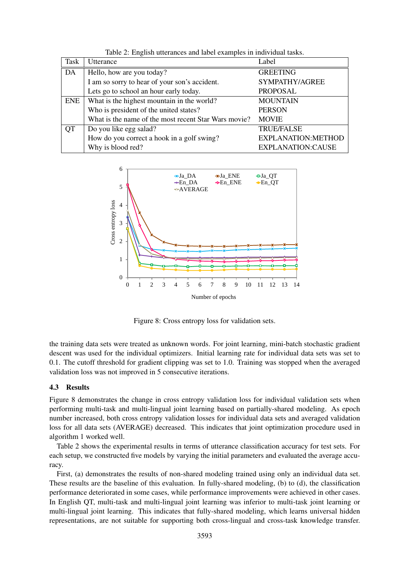| <b>Task</b> | Utterance                                            | Label                    |
|-------------|------------------------------------------------------|--------------------------|
| DA          | Hello, how are you today?                            | <b>GREETING</b>          |
|             | I am so sorry to hear of your son's accident.        | SYMPATHY/AGREE           |
|             | Lets go to school an hour early today.               | <b>PROPOSAL</b>          |
| <b>ENE</b>  | What is the highest mountain in the world?           | <b>MOUNTAIN</b>          |
|             | Who is president of the united states?               | <b>PERSON</b>            |
|             | What is the name of the most recent Star Wars movie? | <b>MOVIE</b>             |
| <b>QT</b>   | Do you like egg salad?                               | <b>TRUE/FALSE</b>        |
|             | How do you correct a hook in a golf swing?           | EXPLANATION:METHOD       |
|             | Why is blood red?                                    | <b>EXPLANATION:CAUSE</b> |

Table 2: English utterances and label examples in individual tasks.



Figure 8: Cross entropy loss for validation sets.

the training data sets were treated as unknown words. For joint learning, mini-batch stochastic gradient descent was used for the individual optimizers. Initial learning rate for individual data sets was set to 0.1. The cutoff threshold for gradient clipping was set to 1.0. Training was stopped when the averaged validation loss was not improved in 5 consecutive iterations.

#### 4.3 Results

Figure 8 demonstrates the change in cross entropy validation loss for individual validation sets when performing multi-task and multi-lingual joint learning based on partially-shared modeling. As epoch number increased, both cross entropy validation losses for individual data sets and averaged validation loss for all data sets (AVERAGE) decreased. This indicates that joint optimization procedure used in algorithm 1 worked well.

Table 2 shows the experimental results in terms of utterance classification accuracy for test sets. For each setup, we constructed five models by varying the initial parameters and evaluated the average accuracy.

First, (a) demonstrates the results of non-shared modeling trained using only an individual data set. These results are the baseline of this evaluation. In fully-shared modeling, (b) to (d), the classification performance deteriorated in some cases, while performance improvements were achieved in other cases. In English QT, multi-task and multi-lingual joint learning was inferior to multi-task joint learning or multi-lingual joint learning. This indicates that fully-shared modeling, which learns universal hidden representations, are not suitable for supporting both cross-lingual and cross-task knowledge transfer.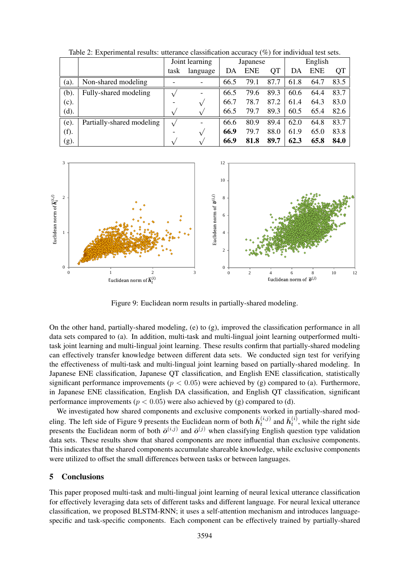|      |                           | Joint learning |               | Japanese |            |           | English |            |      |
|------|---------------------------|----------------|---------------|----------|------------|-----------|---------|------------|------|
|      |                           | task           | language      | DA       | <b>ENE</b> | <b>QT</b> | DA      | <b>ENE</b> | QT   |
| (a). | Non-shared modeling       |                |               | 66.5     | 79.1       | 87.7      | 61.8    | 64.7       | 83.5 |
| (b). | Fully-shared modeling     |                | ٠             | 66.5     | 79.6       | 89.3      | 60.6    | 64.4       | 83.7 |
| (c). |                           |                | $\sqrt{ }$    | 66.7     | 78.7       | 87.2      | 61.4    | 64.3       | 83.0 |
| (d). |                           |                | ٦.            | 66.5     | 79.7       | 89.3      | 60.5    | 65.4       | 82.6 |
| (e). | Partially-shared modeling |                | ٠             | 66.6     | 80.9       | 89.4      | 62.0    | 64.8       | 83.7 |
| (f). |                           |                | $\mathsf v$   | 66.9     | 79.7       | 88.0      | 61.9    | 65.0       | 83.8 |
| (g). |                           |                | $\mathcal{N}$ | 66.9     | 81.8       | 89.7      | 62.3    | 65.8       | 84.0 |

Table 2: Experimental results: utterance classification accuracy (%) for individual test sets.



Figure 9: Euclidean norm results in partially-shared modeling.

On the other hand, partially-shared modeling, (e) to (g), improved the classification performance in all data sets compared to (a). In addition, multi-task and multi-lingual joint learning outperformed multitask joint learning and multi-lingual joint learning. These results confirm that partially-shared modeling can effectively transfer knowledge between different data sets. We conducted sign test for verifying the effectiveness of multi-task and multi-lingual joint learning based on partially-shared modeling. In Japanese ENE classification, Japanese QT classification, and English ENE classification, statistically significant performance improvements ( $p < 0.05$ ) were achieved by (g) compared to (a). Furthermore, in Japanese ENE classification, English DA classification, and English QT classification, significant performance improvements ( $p < 0.05$ ) were also achieved by (g) compared to (d).

We investigated how shared components and exclusive components worked in partially-shared modeling. The left side of Figure 9 presents the Euclidean norm of both  $\bar{h}_t^{(i,j)}$  $\bar{h}^{(i,j)}_t$  and  $\bar{h}^{(i)}_t$  $t_t^{(i)}$ , while the right side presents the Euclidean norm of both  $\bar{o}^{(i,j)}$  and  $\bar{o}^{(j)}$  when classifying English question type validation data sets. These results show that shared components are more influential than exclusive components. This indicates that the shared components accumulate shareable knowledge, while exclusive components were utilized to offset the small differences between tasks or between languages.

#### 5 Conclusions

This paper proposed multi-task and multi-lingual joint learning of neural lexical utterance classification for effectively leveraging data sets of different tasks and different language. For neural lexical utterance classification, we proposed BLSTM-RNN; it uses a self-attention mechanism and introduces languagespecific and task-specific components. Each component can be effectively trained by partially-shared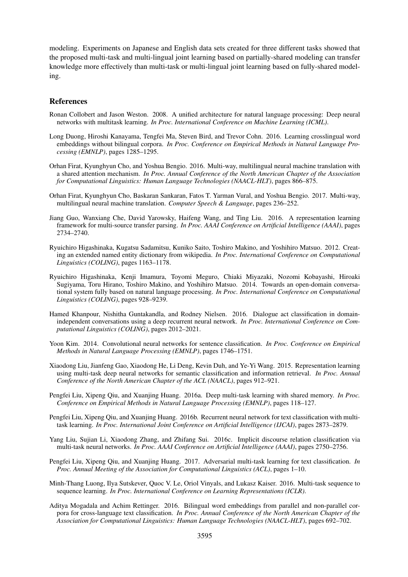modeling. Experiments on Japanese and English data sets created for three different tasks showed that the proposed multi-task and multi-lingual joint learning based on partially-shared modeling can transfer knowledge more effectively than multi-task or multi-lingual joint learning based on fully-shared modeling.

## References

- Ronan Collobert and Jason Weston. 2008. A unified architecture for natural language processing: Deep neural networks with multitask learning. *In Proc. International Conference on Machine Learning (ICML)*.
- Long Duong, Hiroshi Kanayama, Tengfei Ma, Steven Bird, and Trevor Cohn. 2016. Learning crosslingual word embeddings without bilingual corpora. *In Proc. Conference on Empirical Methods in Natural Language Processing (EMNLP)*, pages 1285–1295.
- Orhan Firat, Kyunghyun Cho, and Yoshua Bengio. 2016. Multi-way, multilingual neural machine translation with a shared attention mechanism. *In Proc. Annual Conference of the North American Chapter of the Association for Computational Linguistics: Human Language Technologies (NAACL-HLT)*, pages 866–875.
- Orhan Firat, Kyunghyun Cho, Baskaran Sankaran, Fatos T. Yarman Vural, and Yoshua Bengio. 2017. Multi-way, multilingual neural machine translation. *Computer Speech & Language*, pages 236–252.
- Jiang Guo, Wanxiang Che, David Yarowsky, Haifeng Wang, and Ting Liu. 2016. A representation learning framework for multi-source transfer parsing. *In Proc. AAAI Conference on Artificial Intelligence (AAAI)*, pages 2734–2740.
- Ryuichiro Higashinaka, Kugatsu Sadamitsu, Kuniko Saito, Toshiro Makino, and Yoshihiro Matsuo. 2012. Creating an extended named entity dictionary from wikipedia. *In Proc. International Conference on Computational Linguistics (COLING)*, pages 1163–1178.
- Ryuichiro Higashinaka, Kenji Imamura, Toyomi Meguro, Chiaki Miyazaki, Nozomi Kobayashi, Hiroaki Sugiyama, Toru Hirano, Toshiro Makino, and Yoshihiro Matsuo. 2014. Towards an open-domain conversational system fully based on natural language processing. *In Proc. International Conference on Computational Linguistics (COLING)*, pages 928–9239.
- Hamed Khanpour, Nishitha Guntakandla, and Rodney Nielsen. 2016. Dialogue act classification in domainindependent conversations using a deep recurrent neural network. *In Proc. International Conference on Computational Linguistics (COLING)*, pages 2012–2021.
- Yoon Kim. 2014. Convolutional neural networks for sentence classification. *In Proc. Conference on Empirical Methods in Natural Language Processing (EMNLP)*, pages 1746–1751.
- Xiaodong Liu, Jianfeng Gao, Xiaodong He, Li Deng, Kevin Duh, and Ye-Yi Wang. 2015. Representation learning using multi-task deep neural networks for semantic classification and information retrieval. *In Proc. Annual Conference of the North American Chapter of the ACL (NAACL)*, pages 912–921.
- Pengfei Liu, Xipeng Qiu, and Xuanjing Huang. 2016a. Deep multi-task learning with shared memory. *In Proc. Conference on Empirical Methods in Natural Language Processing (EMNLP)*, pages 118–127.
- Pengfei Liu, Xipeng Qiu, and Xuanjing Huang. 2016b. Recurrent neural network for text classification with multitask learning. *In Proc. International Joint Conference on Artificial Intelligence (IJCAI)*, pages 2873–2879.
- Yang Liu, Sujian Li, Xiaodong Zhang, and Zhifang Sui. 2016c. Implicit discourse relation classification via multi-task neural networks. *In Proc. AAAI Conference on Artificial Intelligence (AAAI)*, pages 2750–2756.
- Pengfei Liu, Xipeng Qiu, and Xuanjing Huang. 2017. Adversarial multi-task learning for text classification. *In Proc. Annual Meeting of the Association for Computational Linguistics (ACL)*, pages 1–10.
- Minh-Thang Luong, Ilya Sutskever, Quoc V. Le, Oriol Vinyals, and Lukasz Kaiser. 2016. Multi-task sequence to sequence learning. *In Proc. International Conference on Learning Representations (ICLR)*.
- Aditya Mogadala and Achim Rettinger. 2016. Bilingual word embeddings from parallel and non-parallel corpora for cross-language text classification. *In Proc. Annual Conference of the North American Chapter of the Association for Computational Linguistics: Human Language Technologies (NAACL-HLT)*, pages 692–702.